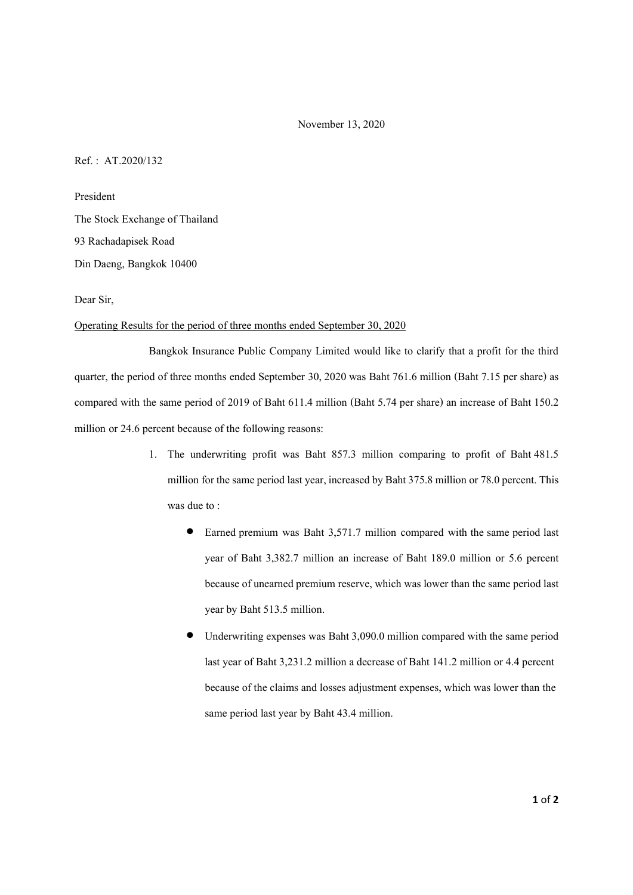November 13, 2020

Ref. : AT.2020/132

President The Stock Exchange of Thailand 93 Rachadapisek Road Din Daeng, Bangkok 10400

Dear Sir,

## Operating Results for the period of three months ended September 30, 2020

 Bangkok Insurance Public Company Limited would like to clarify that a profit for the third quarter, the period of three months ended September 30, 2020 was Baht 761.6 million (Baht 7.15 per share) as compared with the same period of 2019 of Baht 611.4 million (Baht 5.74 per share) an increase of Baht 150.2 million or 24.6 percent because of the following reasons:

- 1. The underwriting profit was Baht 857.3 million comparing to profit of Baht 481.5 million for the same period last year, increased by Baht 375.8 million or 78.0 percent. This was due to :
	- Earned premium was Baht 3,571.7 million compared with the same period last year of Baht 3,382.7 million an increase of Baht 189.0 million or 5.6 percent because of unearned premium reserve, which was lower than the same period last year by Baht 513.5 million.
	- Underwriting expenses was Baht 3,090.0 million compared with the same period last year of Baht 3,231.2 million a decrease of Baht 141.2 million or 4.4 percent because of the claims and losses adjustment expenses, which was lower than the same period last year by Baht 43.4 million.